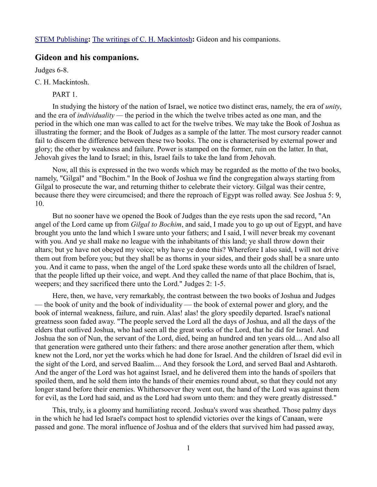[STEM Publishing](http://www.stempublishing.com/)**:** [The writings of C. H. Mackintosh](http://www.stempublishing.com/authors/mackintosh/index.html)**:** Gideon and his companions.

## **Gideon and his companions.**

Judges 6-8.

C. H. Mackintosh.

PART 1.

In studying the history of the nation of Israel, we notice two distinct eras, namely, the era of *unity*, and the era of *individuality —* the period in the which the twelve tribes acted as one man, and the period in the which one man was called to act for the twelve tribes. We may take the Book of Joshua as illustrating the former; and the Book of Judges as a sample of the latter. The most cursory reader cannot fail to discern the difference between these two books. The one is characterised by external power and glory; the other by weakness and failure. Power is stamped on the former, ruin on the latter. In that, Jehovah gives the land to Israel; in this, Israel fails to take the land from Jehovah.

Now, all this is expressed in the two words which may be regarded as the motto of the two books, namely, "Gilgal" and "Bochim." In the Book of Joshua we find the congregation always starting from Gilgal to prosecute the war, and returning thither to celebrate their victory. Gilgal was their centre, because there they were circumcised; and there the reproach of Egypt was rolled away. See Joshua 5: 9, 10.

But no sooner have we opened the Book of Judges than the eye rests upon the sad record, "An angel of the Lord came up from *Gilgal to Bochim*, and said, I made you to go up out of Egypt, and have brought you unto the land which I sware unto your fathers; and I said, I will never break my covenant with you. And ye shall make no league with the inhabitants of this land; ye shall throw down their altars; but ye have not obeyed my voice; why have ye done this? Wherefore I also said, I will not drive them out from before you; but they shall be as thorns in your sides, and their gods shall be a snare unto you. And it came to pass, when the angel of the Lord spake these words unto all the children of Israel, that the people lifted up their voice, and wept. And they called the name of that place Bochim, that is, weepers; and they sacrificed there unto the Lord." Judges 2: 1-5.

Here, then, we have, very remarkably, the contrast between the two books of Joshua and Judges — the book of unity and the book of individuality — the book of external power and glory, and the book of internal weakness, failure, and ruin. Alas! alas! the glory speedily departed. Israel's national greatness soon faded away. "The people served the Lord all the days of Joshua, and all the days of the elders that outlived Joshua, who had seen all the great works of the Lord, that he did for Israel. And Joshua the son of Nun, the servant of the Lord, died, being an hundred and ten years old.... And also all that generation were gathered unto their fathers: and there arose another generation after them, which knew not the Lord, nor yet the works which he had done for Israel. And the children of Israel did evil in the sight of the Lord, and served Baalim.... And they forsook the Lord, and served Baal and Ashtaroth. And the anger of the Lord was hot against Israel, and he delivered them into the hands of spoilers that spoiled them, and he sold them into the hands of their enemies round about, so that they could not any longer stand before their enemies. Whithersoever they went out, the hand of the Lord was against them for evil, as the Lord had said, and as the Lord had sworn unto them: and they were greatly distressed."

This, truly, is a gloomy and humiliating record. Joshua's sword was sheathed. Those palmy days in the which he had led Israel's compact host to splendid victories over the kings of Canaan, were passed and gone. The moral influence of Joshua and of the elders that survived him had passed away,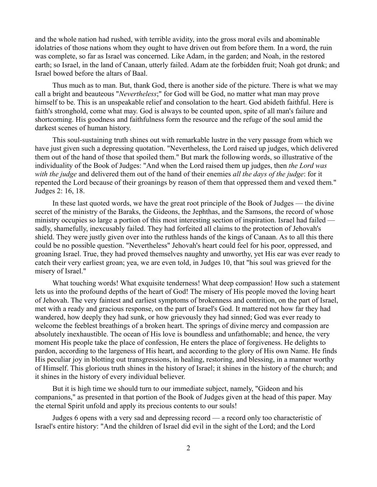and the whole nation had rushed, with terrible avidity, into the gross moral evils and abominable idolatries of those nations whom they ought to have driven out from before them. In a word, the ruin was complete, so far as Israel was concerned. Like Adam, in the garden; and Noah, in the restored earth; so Israel, in the land of Canaan, utterly failed. Adam ate the forbidden fruit; Noah got drunk; and Israel bowed before the altars of Baal.

Thus much as to man. But, thank God, there is another side of the picture. There is what we may call a bright and beauteous "*Nevertheless*;" for God will be God, no matter what man may prove himself to be. This is an unspeakable relief and consolation to the heart. God abideth faithful. Here is faith's stronghold, come what may. God is always to be counted upon, spite of all man's failure and shortcoming. His goodness and faithfulness form the resource and the refuge of the soul amid the darkest scenes of human history.

This soul-sustaining truth shines out with remarkable lustre in the very passage from which we have just given such a depressing quotation. "Nevertheless, the Lord raised up judges, which delivered them out of the hand of those that spoiled them." But mark the following words, so illustrative of the individuality of the Book of Judges: "And when the Lord raised them up judges, then *the Lord was with the judge* and delivered them out of the hand of their enemies *all the days of the judge*: for it repented the Lord because of their groanings by reason of them that oppressed them and vexed them." Judges 2: 16, 18.

In these last quoted words, we have the great root principle of the Book of Judges — the divine secret of the ministry of the Baraks, the Gideons, the Jephthas, and the Samsons, the record of whose ministry occupies so large a portion of this most interesting section of inspiration. Israel had failed sadly, shamefully, inexcusably failed. They had forfeited all claims to the protection of Jehovah's shield. They were justly given over into the ruthless hands of the kings of Canaan. As to all this there could be no possible question. "Nevertheless" Jehovah's heart could feel for his poor, oppressed, and groaning Israel. True, they had proved themselves naughty and unworthy, yet His ear was ever ready to catch their very earliest groan; yea, we are even told, in Judges 10, that "his soul was grieved for the misery of Israel."

What touching words! What exquisite tenderness! What deep compassion! How such a statement lets us into the profound depths of the heart of God! The misery of His people moved the loving heart of Jehovah. The very faintest and earliest symptoms of brokenness and contrition, on the part of Israel, met with a ready and gracious response, on the part of Israel's God. It mattered not how far they had wandered, how deeply they had sunk, or how grievously they had sinned; God was ever ready to welcome the feeblest breathings of a broken heart. The springs of divine mercy and compassion are absolutely inexhaustible. The ocean of His love is boundless and unfathomable; and hence, the very moment His people take the place of confession, He enters the place of forgiveness. He delights to pardon, according to the largeness of His heart, and according to the glory of His own Name. He finds His peculiar joy in blotting out transgressions, in healing, restoring, and blessing, in a manner worthy of Himself. This glorious truth shines in the history of Israel; it shines in the history of the church; and it shines in the history of every individual believer.

But it is high time we should turn to our immediate subject, namely, "Gideon and his companions," as presented in that portion of the Book of Judges given at the head of this paper. May the eternal Spirit unfold and apply its precious contents to our souls!

Judges 6 opens with a very sad and depressing record — a record only too characteristic of Israel's entire history: "And the children of Israel did evil in the sight of the Lord; and the Lord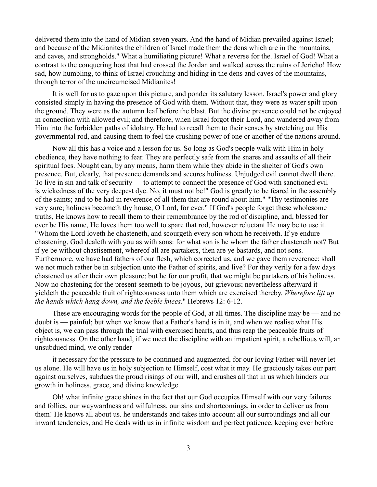delivered them into the hand of Midian seven years. And the hand of Midian prevailed against Israel; and because of the Midianites the children of Israel made them the dens which are in the mountains, and caves, and strongholds." What a humiliating picture! What a reverse for the. Israel of God! What a contrast to the conquering host that had crossed the Jordan and walked across the ruins of Jericho! How sad, how humbling, to think of Israel crouching and hiding in the dens and caves of the mountains, through terror of the uncircumcised Midianites!

It is well for us to gaze upon this picture, and ponder its salutary lesson. Israel's power and glory consisted simply in having the presence of God with them. Without that, they were as water spilt upon the ground. They were as the autumn leaf before the blast. But the divine presence could not be enjoyed in connection with allowed evil; and therefore, when Israel forgot their Lord, and wandered away from Him into the forbidden paths of idolatry, He had to recall them to their senses by stretching out His governmental rod, and causing them to feel the crushing power of one or another of the nations around.

Now all this has a voice and a lesson for us. So long as God's people walk with Him in holy obedience, they have nothing to fear. They are perfectly safe from the snares and assaults of all their spiritual foes. Nought can, by any means, harm them while they abide in the shelter of God's own presence. But, clearly, that presence demands and secures holiness. Unjudged evil cannot dwell there. To live in sin and talk of security — to attempt to connect the presence of God with sanctioned evil is wickedness of the very deepest dye. No, it must not be!" God is greatly to be feared in the assembly of the saints; and to be had in reverence of all them that are round about him." "Thy testimonies are very sure; holiness becometh thy house, O Lord, for ever." If God's people forget these wholesome truths, He knows how to recall them to their remembrance by the rod of discipline, and, blessed for ever be His name, He loves them too well to spare that rod, however reluctant He may be to use it. "Whom the Lord loveth he chasteneth, and scourgeth every son whom he receiveth. If ye endure chastening, God dealeth with you as with sons: for what son is he whom the father chasteneth not? But if ye be without chastisement, whereof all are partakers, then are ye bastards, and not sons. Furthermore, we have had fathers of our flesh, which corrected us, and we gave them reverence: shall we not much rather be in subjection unto the Father of spirits, and live? For they verily for a few days chastened us after their own pleasure; but he for our profit, that we might be partakers of his holiness. Now no chastening for the present seemeth to be joyous, but grievous; nevertheless afterward it yieldeth the peaceable fruit of righteousness unto them which are exercised thereby. *Wherefore lift up the hands which hang down, and the feeble knees*." Hebrews 12: 6-12.

These are encouraging words for the people of God, at all times. The discipline may be — and no doubt is — painful; but when we know that a Father's hand is in it, and when we realise what His object is, we can pass through the trial with exercised hearts, and thus reap the peaceable fruits of righteousness. On the other hand, if we meet the discipline with an impatient spirit, a rebellious will, an unsubdued mind, we only render

it necessary for the pressure to be continued and augmented, for our loving Father will never let us alone. He will have us in holy subjection to Himself, cost what it may. He graciously takes our part against ourselves, subdues the proud risings of our will, and crushes all that in us which hinders our growth in holiness, grace, and divine knowledge.

Oh! what infinite grace shines in the fact that our God occupies Himself with our very failures and follies, our waywardness and wilfulness, our sins and shortcomings, in order to deliver us from them! He knows all about us. he understands and takes into account all our surroundings and all our inward tendencies, and He deals with us in infinite wisdom and perfect patience, keeping ever before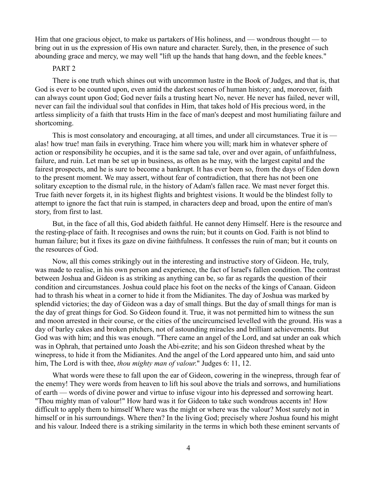Him that one gracious object, to make us partakers of His holiness, and — wondrous thought — to bring out in us the expression of His own nature and character. Surely, then, in the presence of such abounding grace and mercy, we may well "lift up the hands that hang down, and the feeble knees."

#### PART 2

There is one truth which shines out with uncommon lustre in the Book of Judges, and that is, that God is ever to be counted upon, even amid the darkest scenes of human history; and, moreover, faith can always count upon God; God never fails a trusting heart No, never. He never has failed, never will, never can fail the individual soul that confides in Him, that takes hold of His precious word, in the artless simplicity of a faith that trusts Him in the face of man's deepest and most humiliating failure and shortcoming.

This is most consolatory and encouraging, at all times, and under all circumstances. True it is alas! how true! man fails in everything. Trace him where you will; mark him in whatever sphere of action or responsibility he occupies, and it is the same sad tale, over and over again, of unfaithfulness, failure, and ruin. Let man be set up in business, as often as he may, with the largest capital and the fairest prospects, and he is sure to become a bankrupt. It has ever been so, from the days of Eden down to the present moment. We may assert, without fear of contradiction, that there has not been one solitary exception to the dismal rule, in the history of Adam's fallen race. We mast never forget this. True faith never forgets it, in its highest flights and brightest visions. It would be the blindest folly to attempt to ignore the fact that ruin is stamped, in characters deep and broad, upon the entire of man's story, from first to last.

But, in the face of all this, God abideth faithful. He cannot deny Himself. Here is the resource and the resting-place of faith. It recognises and owns the ruin; but it counts on God. Faith is not blind to human failure; but it fixes its gaze on divine faithfulness. It confesses the ruin of man; but it counts on the resources of God.

Now, all this comes strikingly out in the interesting and instructive story of Gideon. He, truly, was made to realise, in his own person and experience, the fact of Israel's fallen condition. The contrast between Joshua and Gideon is as striking as anything can be, so far as regards the question of their condition and circumstances. Joshua could place his foot on the necks of the kings of Canaan. Gideon had to thrash his wheat in a corner to hide it from the Midianites. The day of Joshua was marked by splendid victories; the day of Gideon was a day of small things. But the day of small things for man is the day of great things for God. So Gideon found it. True, it was not permitted him to witness the sun and moon arrested in their course, or the cities of the uncircumcised levelled with the ground. His was a day of barley cakes and broken pitchers, not of astounding miracles and brilliant achievements. But God was with him; and this was enough. "There came an angel of the Lord, and sat under an oak which was in Ophrah, that pertained unto Joash the Abi-ezrite; and his son Gideon threshed wheat by the winepress, to hide it from the Midianites. And the angel of the Lord appeared unto him, and said unto him, The Lord is with thee, *thou mighty man of valour*." Judges 6: 11, 12.

What words were these to fall upon the ear of Gideon, cowering in the winepress, through fear of the enemy! They were words from heaven to lift his soul above the trials and sorrows, and humiliations of earth — words of divine power and virtue to infuse vigour into his depressed and sorrowing heart. "Thou mighty man of valour!" How hard was it for Gideon to take such wondrous accents in! How difficult to apply them to himself Where was the might or where was the valour? Most surely not in himself or in his surroundings. Where then? In the living God; precisely where Joshua found his might and his valour. Indeed there is a striking similarity in the terms in which both these eminent servants of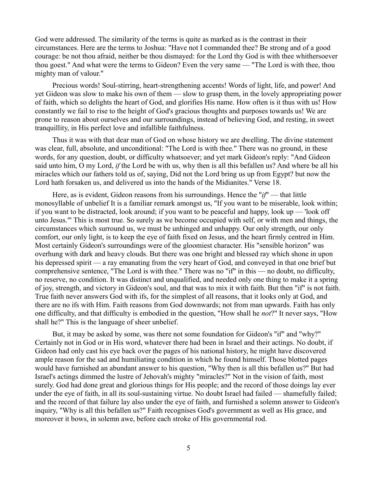God were addressed. The similarity of the terms is quite as marked as is the contrast in their circumstances. Here are the terms to Joshua: "Have not I commanded thee? Be strong and of a good courage: be not thou afraid, neither be thou dismayed: for the Lord thy God is with thee whithersoever thou goest." And what were the terms to Gideon? Even the very same — "The Lord is with thee, thou mighty man of valour."

Precious words! Soul-stirring, heart-strengthening accents! Words of light, life, and power! And yet Gideon was slow to make his own of them — slow to grasp them, in the lovely appropriating power of faith, which so delights the heart of God, and glorifies His name. How often is it thus with us! How constantly we fail to rise to the height of God's gracious thoughts and purposes towards us! We are prone to reason about ourselves and our surroundings, instead of believing God, and resting, in sweet tranquillity, in His perfect love and infallible faithfulness.

Thus it was with that dear man of God on whose history we are dwelling. The divine statement was clear, full, absolute, and unconditional: "The Lord is with thee." There was no ground, in these words, for any question, doubt, or difficulty whatsoever; and yet mark Gideon's reply: "And Gideon said unto him, O my Lord, *if* the Lord be with us, why then is all this befallen us? And where be all his miracles which our fathers told us of, saying, Did not the Lord bring us up from Egypt? but now the Lord hath forsaken us, and delivered us into the hands of the Midianites." Verse 18.

Here, as is evident, Gideon reasons from his surroundings. Hence the "*if*" — that little monosyllable of unbelief It is a familiar remark amongst us, "If you want to be miserable, look within; if you want to be distracted, look around; if you want to be peaceful and happy, look up — 'look off unto Jesus."' This is most true. So surely as we become occupied with self, or with men and things, the circumstances which surround us, we must be unhinged and unhappy. Our only strength, our only comfort, our only light, is to keep the eye of faith fixed on Jesus, and the heart firmly centred in Him. Most certainly Gideon's surroundings were of the gloomiest character. His "sensible horizon" was overhung with dark and heavy clouds. But there was one bright and blessed ray which shone in upon his depressed spirit — a ray emanating from the very heart of God, and conveyed in that one brief but comprehensive sentence, "The Lord is with thee." There was no "if" in this — no doubt, no difficulty, no reserve, no condition. It was distinct and unqualified, and needed only one thing to make it a spring of joy, strength, and victory in Gideon's soul, and that was to mix it with faith. But then "if" is not faith. True faith never answers God with ifs, for the simplest of all reasons, that it looks only at God, and there are no ifs with Him. Faith reasons from God downwards; not from man upwards. Faith has only one difficulty, and that difficulty is embodied in the question, "How shall he *not*?" It never says, "How shall he?" This is the language of sheer unbelief.

But, it may be asked by some, was there not some foundation for Gideon's "if" and "why?" Certainly not in God or in His word, whatever there had been in Israel and their actings. No doubt, if Gideon had only cast his eye back over the pages of his national history, he might have discovered ample reason for the sad and humiliating condition in which he found himself. Those blotted pages would have furnished an abundant answer to his question, "Why then is all this befallen us?" But had Israel's actings dimmed the lustre of Jehovah's mighty "miracles?" Not in the vision of faith, most surely. God had done great and glorious things for His people; and the record of those doings lay ever under the eye of faith, in all its soul-sustaining virtue. No doubt Israel had failed — shamefully failed; and the record of that failure lay also under the eye of faith, and furnished a solemn answer to Gideon's inquiry, "Why is all this befallen us?" Faith recognises God's government as well as His grace, and moreover it bows, in solemn awe, before each stroke of His governmental rod.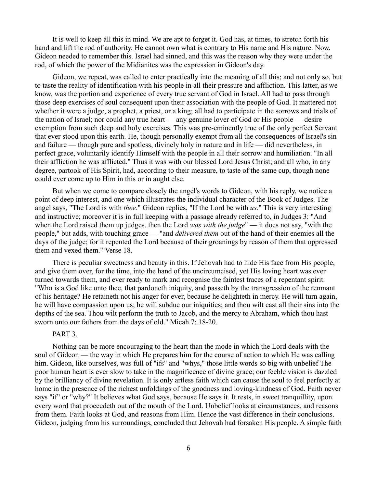It is well to keep all this in mind. We are apt to forget it. God has, at times, to stretch forth his hand and lift the rod of authority. He cannot own what is contrary to His name and His nature. Now, Gideon needed to remember this. Israel had sinned, and this was the reason why they were under the rod, of which the power of the Midianites was the expression in Gideon's day.

Gideon, we repeat, was called to enter practically into the meaning of all this; and not only so, but to taste the reality of identification with his people in all their pressure and affliction. This latter, as we know, was the portion and experience of every true servant of God in Israel. All had to pass through those deep exercises of soul consequent upon their association with the people of God. It mattered not whether it were a judge, a prophet, a priest, or a king; all had to participate in the sorrows and trials of the nation of Israel; nor could any true heart — any genuine lover of God or His people — desire exemption from such deep and holy exercises. This was pre-eminently true of the only perfect Servant that ever stood upon this earth. He, though personally exempt from all the consequences of Israel's sin and failure — though pure and spotless, divinely holy in nature and in life — did nevertheless, in perfect grace, voluntarily identify Himself with the people in all their sorrow and humiliation. "In all their affliction he was afflicted." Thus it was with our blessed Lord Jesus Christ; and all who, in any degree, partook of His Spirit, had, according to their measure, to taste of the same cup, though none could ever come up to Him in this or in aught else.

But when we come to compare closely the angel's words to Gideon, with his reply, we notice a point of deep interest, and one which illustrates the individual character of the Book of Judges. The angel says, "The Lord is with *thee*." Gideon replies, "If the Lord be with *us*." This is very interesting and instructive; moreover it is in full keeping with a passage already referred to, in Judges 3: "And when the Lord raised them up judges, then the Lord *was with the judge*" — it does not say, "with the people," but adds, with touching grace — "and *delivered them* out of the hand of their enemies all the days of the judge; for it repented the Lord because of their groanings by reason of them that oppressed them and vexed them." Verse 18.

There is peculiar sweetness and beauty in this. If Jehovah had to hide His face from His people, and give them over, for the time, into the hand of the uncircumcised, yet His loving heart was ever turned towards them, and ever ready to mark and recognise the faintest traces of a repentant spirit. "Who is a God like unto thee, that pardoneth iniquity, and passeth by the transgression of the remnant of his heritage? He retaineth not his anger for ever, because he delighteth in mercy. He will turn again, he will have compassion upon us; he will subdue our iniquities; and thou wilt cast all their sins into the depths of the sea. Thou wilt perform the truth to Jacob, and the mercy to Abraham, which thou hast sworn unto our fathers from the days of old." Micah 7: 18-20.

### PART<sub>3</sub>.

Nothing can be more encouraging to the heart than the mode in which the Lord deals with the soul of Gideon — the way in which He prepares him for the course of action to which He was calling him. Gideon, like ourselves, was full of "ifs" and "whys," those little words so big with unbelief The poor human heart is ever slow to take in the magnificence of divine grace; our feeble vision is dazzled by the brilliancy of divine revelation. It is only artless faith which can cause the soul to feel perfectly at home in the presence of the richest unfoldings of the goodness and loving-kindness of God. Faith never says "if" or "why?" It believes what God says, because He says it. It rests, in sweet tranquillity, upon every word that proceedeth out of the mouth of the Lord. Unbelief looks at circumstances, and reasons from them. Faith looks at God, and reasons from Him. Hence the vast difference in their conclusions. Gideon, judging from his surroundings, concluded that Jehovah had forsaken His people. A simple faith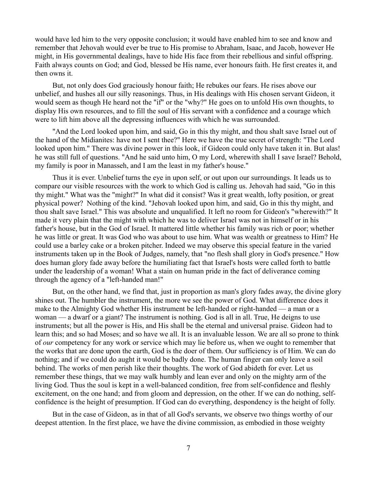would have led him to the very opposite conclusion; it would have enabled him to see and know and remember that Jehovah would ever be true to His promise to Abraham, Isaac, and Jacob, however He might, in His governmental dealings, have to hide His face from their rebellious and sinful offspring. Faith always counts on God; and God, blessed be His name, ever honours faith. He first creates it, and then owns it.

But, not only does God graciously honour faith; He rebukes our fears. He rises above our unbelief, and hushes all our silly reasonings. Thus, in His dealings with His chosen servant Gideon, it would seem as though He heard not the "if" or the "why?" He goes on to unfold His own thoughts, to display His own resources, and to fill the soul of His servant with a confidence and a courage which were to lift him above all the depressing influences with which he was surrounded.

"And the Lord looked upon him, and said, Go in this thy might, and thou shalt save Israel out of the hand of the Midianites: have not I sent thee?" Here we have the true secret of strength: "The Lord looked upon him." There was divine power in this look, if Gideon could only have taken it in. But alas! he was still full of questions. "And he said unto him, O my Lord, wherewith shall I save Israel? Behold, my family is poor in Manasseh, and I am the least in my father's house."

Thus it is ever. Unbelief turns the eye in upon self, or out upon our surroundings. It leads us to compare our visible resources with the work to which God is calling us. Jehovah had said, "Go in this thy might." What was the "might?" In what did it consist? Was it great wealth, lofty position, or great physical power? Nothing of the kind. "Jehovah looked upon him, and said, Go in this thy might, and thou shalt save Israel." This was absolute and unqualified. It left no room for Gideon's "wherewith?" It made it very plain that the might with which he was to deliver Israel was not in himself or in his father's house, but in the God of Israel. It mattered little whether his family was rich or poor; whether he was little or great. It was God who was about to use him. What was wealth or greatness to Him? He could use a barley cake or a broken pitcher. Indeed we may observe this special feature in the varied instruments taken up in the Book of Judges, namely, that "no flesh shall glory in God's presence." How does human glory fade away before the humiliating fact that Israel's hosts were called forth to battle under the leadership of a woman! What a stain on human pride in the fact of deliverance coming through the agency of a "left-handed man!"

But, on the other hand, we find that, just in proportion as man's glory fades away, the divine glory shines out. The humbler the instrument, the more we see the power of God. What difference does it make to the Almighty God whether His instrument be left-handed or right-handed — a man or a woman — a dwarf or a giant? The instrument is nothing. God is all in all. True, He deigns to use instruments; but all the power is His, and His shall be the eternal and universal praise. Gideon had to learn this; and so had Moses; and so have we all. It is an invaluable lesson. We are all so prone to think of *our* competency for any work or service which may lie before us, when we ought to remember that the works that are done upon the earth, God is the doer of them. Our sufficiency is of Him. We can do nothing; and if we could do aught it would be badly done. The human finger can only leave a soil behind. The works of men perish like their thoughts. The work of God abideth for ever. Let us remember these things, that we may walk humbly and lean ever and only on the mighty arm of the living God. Thus the soul is kept in a well-balanced condition, free from self-confidence and fleshly excitement, on the one hand; and from gloom and depression, on the other. If we can do nothing, selfconfidence is the height of presumption. If God can do everything, despondency is the height of folly.

But in the case of Gideon, as in that of all God's servants, we observe two things worthy of our deepest attention. In the first place, we have the divine commission, as embodied in those weighty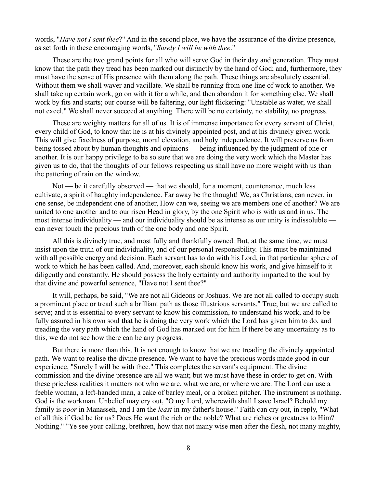words, "*Have not I sent thee*?" And in the second place, we have the assurance of the divine presence, as set forth in these encouraging words, "*Surely I will be with thee*."

These are the two grand points for all who will serve God in their day and generation. They must know that the path they tread has been marked out distinctly by the hand of God; and, furthermore, they must have the sense of His presence with them along the path. These things are absolutely essential. Without them we shall waver and vacillate. We shall be running from one line of work to another. We shall take up certain work, go on with it for a while, and then abandon it for something else. We shall work by fits and starts; our course will be faltering, our light flickering: "Unstable as water, we shall not excel." We shall never succeed at anything. There will be no certainty, no stability, no progress.

These are weighty matters for all of us. It is of immense importance for every servant of Christ, every child of God, to know that he is at his divinely appointed post, and at his divinely given work. This will give fixedness of purpose, moral elevation, and holy independence. It will preserve us from being tossed about by human thoughts and opinions — being influenced by the judgment of one or another. It is our happy privilege to be so sure that we are doing the very work which the Master has given us to do, that the thoughts of our fellows respecting us shall have no more weight with us than the pattering of rain on the window.

Not — be it carefully observed — that we should, for a moment, countenance, much less cultivate, a spirit of haughty independence. Far away be the thought! We, as Christians, can never, in one sense, be independent one of another, How can we, seeing we are members one of another? We are united to one another and to our risen Head in glory, by the one Spirit who is with us and in us. The most intense individuality — and our individuality should be as intense as our unity is indissoluble can never touch the precious truth of the one body and one Spirit.

All this is divinely true, and most fully and thankfully owned. But, at the same time, we must insist upon the truth of our individuality, and of our personal responsibility. This must be maintained with all possible energy and decision. Each servant has to do with his Lord, in that particular sphere of work to which he has been called. And, moreover, each should know his work, and give himself to it diligently and constantly. He should possess the holy certainty and authority imparted to the soul by that divine and powerful sentence, "Have not I sent thee?"

It will, perhaps, be said, "We are not all Gideons or Joshuas. We are not all called to occupy such a prominent place or tread such a brilliant path as those illustrious servants." True; but we are called to serve; and it is essential to every servant to know his commission, to understand his work, and to be fully assured in his own soul that he is doing the very work which the Lord has given him to do, and treading the very path which the hand of God has marked out for him If there be any uncertainty as to this, we do not see how there can be any progress.

But there is more than this. It is not enough to know that we are treading the divinely appointed path. We want to realise the divine presence. We want to have the precious words made good in our experience, "Surely I will be with thee." This completes the servant's equipment. The divine commission and the divine presence are all we want; but we must have these in order to get on. With these priceless realities it matters not who we are, what we are, or where we are. The Lord can use a feeble woman, a left-handed man, a cake of barley meal, or a broken pitcher. The instrument is nothing. God is the workman. Unbelief may cry out, "O my Lord, wherewith shall I save Israel? Behold my family is *poor* in Manasseh, and I am the *least* in my father's house." Faith can cry out, in reply, "What of all this if God be for us? Does He want the rich or the noble? What are riches or greatness to Him? Nothing." "Ye see your calling, brethren, how that not many wise men after the flesh, not many mighty,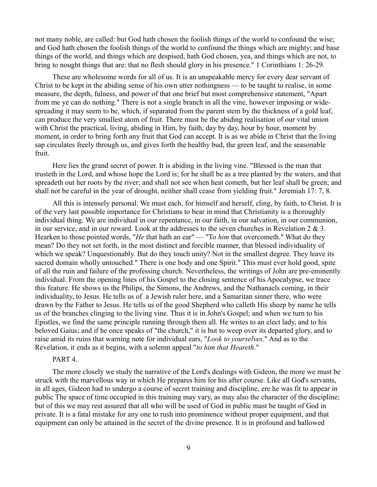not many noble, are called: but God hath chosen the foolish things of the world to confound the wise; and God hath chosen the foolish things of the world to confound the things which are mighty; and base things of the world, and things which are despised, hath God chosen, yea, and things which are not, to bring to nought things that are: that no flesh should glory in his presence." 1 Corinthians 1: 26-29.

These are wholesome words for all of us. It is an unspeakable mercy for every dear servant of Christ to be kept in the abiding sense of his own utter nothingness — to be taught to realise, in some measure, the depth, fulness, and power of that one brief but most comprehensive statement, "Apart from me ye can do nothing." There is not a single branch in all the vine, however imposing or widespreading it may seem to be, which, if separated from the parent stem by the thickness of a gold leaf, can produce the very smallest atom of fruit. There must be the abiding realisation of our vital union with Christ the practical, living, abiding in Him, by faith, day by day, hour by hour, moment by moment, in order to bring forth any fruit that God can accept. It is as we abide in Christ that the living sap circulates freely through us, and gives forth the healthy bud, the green leaf, and the seasonable fruit.

Here lies the grand secret of power. It is abiding in the living vine. "Blessed is the man that trusteth in the Lord, and whose hope the Lord is; for he shall be as a tree planted by the waters, and that spreadeth out her roots by the river; and shall not see when heat cometh, but her leaf shall be green; and shall not be careful in the year of drought, neither shall cease from yielding fruit." Jeremiah 17: 7, 8.

All this is intensely personal. We must each, for himself and herself, cling, by faith, to Christ. It is of the very last possible importance for Christians to bear in mind that Christianity is a thoroughly individual thing. We are individual in our repentance, in our faith, in our salvation, in our communion, in our service, and in our reward. Look at the addresses to the seven churches in Revelation  $2 \& 3$ . Hearken to those pointed words, "*He* that hath an ear" — "To *him* that overcometh." What do they mean? Do they not set forth, in the most distinct and forcible manner, that blessed individuality of which we speak? Unquestionably. But do they touch unity? Not in the smallest degree. They leave its sacred domain wholly untouched." There is one body and one Spirit." This must ever hold good, spite of all the ruin and failure of the professing church. Nevertheless, the writings of John are pre-eminently individual. From the opening lines of his Gospel to the closing sentence of his Apocalypse, we trace this feature. He shows us the Philips, the Simons, the Andrews, and the Nathanaels coming, in their individuality, to Jesus. He tells us of a Jewish ruler here, and a Samaritan sinner there, who were drawn by the Father to Jesus. He tells us of the good Shepherd who calleth His sheep by name he tells us of the branches clinging to the living vine. Thus it is in John's Gospel; and when we turn to his Epistles, we find the same principle running through them all. He writes to an elect lady, and to his beloved Gaius; and if he once speaks of "the church," it is but to weep over its departed glory, and to raise amid its ruins that warning note for individual ears, "*Look to yourselves*." And as to the Revelation, it ends as it begins, with a solemn appeal "*to him that Heareth*."

## PART<sub>4</sub>

The more closely we study the narrative of the Lord's dealings with Gideon, the more we must be struck with the marvellous way in which He prepares him for his after course. Like all God's servants, in all ages, Gideon had to undergo a course of secret training and discipline, ere he was fit to appear in public The space of time occupied in this training may vary, as may also the character of the discipline; but of this we may rest assured that all who will be used of God in public mast be taught of God in private. It is a fatal mistake for any one to rush into prominence without proper equipment, and that equipment can only be attained in the secret of the divine presence. It is in profound and hallowed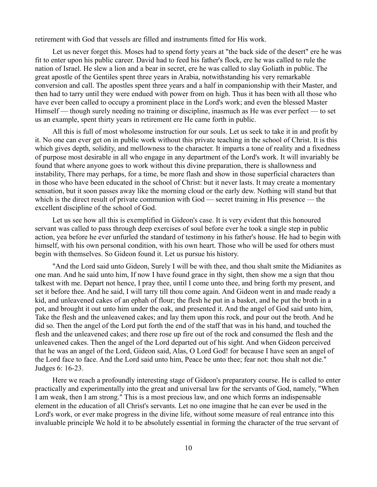retirement with God that vessels are filled and instruments fitted for His work.

Let us never forget this. Moses had to spend forty years at "the back side of the desert" ere he was fit to enter upon his public career. David had to feed his father's flock, ere he was called to rule the nation of Israel. He slew a lion and a bear in secret, ere he was called to slay Goliath in public. The great apostle of the Gentiles spent three years in Arabia, notwithstanding his very remarkable conversion and call. The apostles spent three years and a half in companionship with their Master, and then had to tarry until they were endued with power from on high. Thus it has been with all those who have ever been called to occupy a prominent place in the Lord's work; and even the blessed Master Himself — though surely needing no training or discipline, inasmuch as He was ever perfect — to set us an example, spent thirty years in retirement ere He came forth in public.

All this is full of most wholesome instruction for our souls. Let us seek to take it in and profit by it. No one can ever get on in public work without this private teaching in the school of Christ. It is this which gives depth, solidity, and mellowness to the character. It imparts a tone of reality and a fixedness of purpose most desirable in all who engage in any department of the Lord's work. It will invariably be found that where anyone goes to work without this divine preparation, there is shallowness and instability, There may perhaps, for a time, be more flash and show in those superficial characters than in those who have been educated in the school of Christ: but it never lasts. It may create a momentary sensation, but it soon passes away like the morning cloud or the early dew. Nothing will stand but that which is the direct result of private communion with God — secret training in His presence — the excellent discipline of the school of God.

Let us see how all this is exemplified in Gideon's case. It is very evident that this honoured servant was called to pass through deep exercises of soul before ever he took a single step in public action, yea before he ever unfurled the standard of testimony in his father's house. He had to begin with himself, with his own personal condition, with his own heart. Those who will be used for others must begin with themselves. So Gideon found it. Let us pursue his history.

"And the Lord said unto Gideon, Surely I will be with thee, and thou shalt smite the Midianites as one man. And he said unto him, If now I have found grace in thy sight, then show me a sign that thou talkest with me. Depart not hence, I pray thee, until I come unto thee, and bring forth my present, and set it before thee. And he said, I will tarry till thou come again. And Gideon went in and made ready a kid, and unleavened cakes of an ephah of flour; the flesh he put in a basket, and he put the broth in a pot, and brought it out unto him under the oak, and presented it. And the angel of God said unto him, Take the flesh and the unleavened cakes; and lay them upon this rock, and pour out the broth. And he did so. Then the angel of the Lord put forth the end of the staff that was in his hand, and touched the flesh and the unleavened cakes; and there rose up fire out of the rock and consumed the flesh and the unleavened cakes. Then the angel of the Lord departed out of his sight. And when Gideon perceived that he was an angel of the Lord, Gideon said, Alas, O Lord God! for because I have seen an angel of the Lord face to face. And the Lord said unto him, Peace be unto thee; fear not: thou shalt not die." Judges 6: 16-23.

Here we reach a profoundly interesting stage of Gideon's preparatory course. He is called to enter practically and experimentally into the great and universal law for the servants of God, namely, "When I am weak, then I am strong." This is a most precious law, and one which forms an indispensable element in the education of all Christ's servants. Let no one imagine that he can ever be used in the Lord's work, or ever make progress in the divine life, without some measure of real entrance into this invaluable principle We hold it to be absolutely essential in forming the character of the true servant of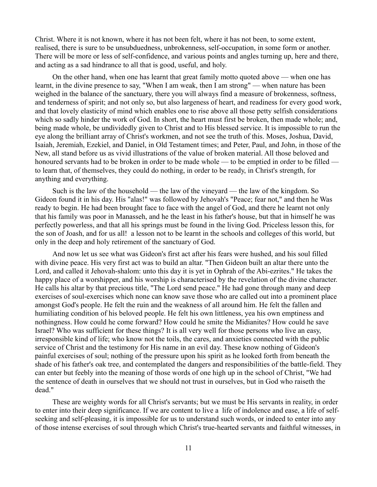Christ. Where it is not known, where it has not been felt, where it has not been, to some extent, realised, there is sure to be unsubduedness, unbrokenness, self-occupation, in some form or another. There will be more or less of self-confidence, and various points and angles turning up, here and there, and acting as a sad hindrance to all that is good, useful, and holy.

On the other hand, when one has learnt that great family motto quoted above — when one has learnt, in the divine presence to say, "When I am weak, then I am strong" — when nature has been weighed in the balance of the sanctuary, there you will always find a measure of brokenness, softness, and tenderness of spirit; and not only so, but also largeness of heart, and readiness for every good work, and that lovely elasticity of mind which enables one to rise above all those petty selfish considerations which so sadly hinder the work of God. In short, the heart must first be broken, then made whole; and, being made whole, be undividedly given to Christ and to His blessed service. It is impossible to run the eye along the brilliant array of Christ's workmen, and not see the truth of this. Moses, Joshua, David, Isaiah, Jeremiah, Ezekiel, and Daniel, in Old Testament times; and Peter, Paul, and John, in those of the New, all stand before us as vivid illustrations of the value of broken material. All those beloved and honoured servants had to be broken in order to be made whole — to be emptied in order to be filled to learn that, of themselves, they could do nothing, in order to be ready, in Christ's strength, for anything and everything.

Such is the law of the household — the law of the vineyard — the law of the kingdom. So Gideon found it in his day. His "alas!" was followed by Jehovah's "Peace; fear not," and then he Was ready to begin. He had been brought face to face with the angel of God, and there he learnt not only that his family was poor in Manasseh, and he the least in his father's house, but that in himself he was perfectly powerless, and that all his springs must be found in the living God. Priceless lesson this, for the son of Joash, and for us all! a lesson not to be learnt in the schools and colleges of this world, but only in the deep and holy retirement of the sanctuary of God.

And now let us see what was Gideon's first act after his fears were hushed, and his soul filled with divine peace. His very first act was to build an altar. "Then Gideon built an altar there unto the Lord, and called it Jehovah-shalom: unto this day it is yet in Ophrah of the Abi-ezrites." He takes the happy place of a worshipper, and his worship is characterised by the revelation of the divine character. He calls his altar by that precious title, "The Lord send peace." He had gone through many and deep exercises of soul-exercises which none can know save those who are called out into a prominent place amongst God's people. He felt the ruin and the weakness of all around him. He felt the fallen and humiliating condition of his beloved people. He felt his own littleness, yea his own emptiness and nothingness. How could he come forward? How could he smite the Midianites? How could he save Israel? Who was sufficient for these things? It is all very well for those persons who live an easy, irresponsible kind of life; who know not the toils, the cares, and anxieties connected with the public service of Christ and the testimony for His name in an evil day. These know nothing of Gideon's painful exercises of soul; nothing of the pressure upon his spirit as he looked forth from beneath the shade of his father's oak tree, and contemplated the dangers and responsibilities of the battle-field. They can enter but feebly into the meaning of those words of one high up in the school of Christ, "We had the sentence of death in ourselves that we should not trust in ourselves, but in God who raiseth the dead."

These are weighty words for all Christ's servants; but we must be His servants in reality, in order to enter into their deep significance. If we are content to live a life of indolence and ease, a life of selfseeking and self-pleasing, it is impossible for us to understand such words, or indeed to enter into any of those intense exercises of soul through which Christ's true-hearted servants and faithful witnesses, in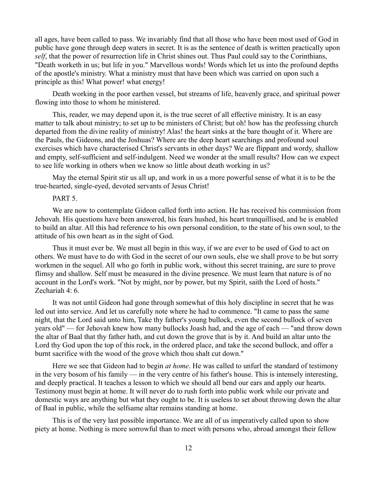all ages, have been called to pass. We invariably find that all those who have been most used of God in public have gone through deep waters in secret. It is as the sentence of death is written practically upon *self*, that the power of resurrection life in Christ shines out. Thus Paul could say to the Corinthians, "Death worketh in us; but life in you." Marvellous words! Words which let us into the profound depths of the apostle's ministry. What a ministry must that have been which was carried on upon such a principle as this! What power! what energy!

Death working in the poor earthen vessel, but streams of life, heavenly grace, and spiritual power flowing into those to whom he ministered.

This, reader, we may depend upon it, is the true secret of all effective ministry. It is an easy matter to talk about ministry; to set up to be ministers of Christ; but oh! how has the professing church departed from the divine reality of ministry! Alas! the heart sinks at the bare thought of it. Where are the Pauls, the Gideons, and the Joshuas? Where are the deep heart searchings and profound soul exercises which have characterised Christ's servants in other days? We are flippant and wordy, shallow and empty, self-sufficient and self-indulgent. Need we wonder at the small results? How can we expect to see life working in others when we know so little about death working in us?

May the eternal Spirit stir us all up, and work in us a more powerful sense of what it is to be the true-hearted, single-eyed, devoted servants of Jesus Christ!

#### PART<sub>5</sub>

We are now to contemplate Gideon called forth into action. He has received his commission from Jehovah. His questions have been answered, his fears hushed, his heart tranquillised, and he is enabled to build an altar. All this had reference to his own personal condition, to the state of his own soul, to the attitude of his own heart as in the sight of God.

Thus it must ever be. We must all begin in this way, if we are ever to be used of God to act on others. We must have to do with God in the secret of our own souls, else we shall prove to be but sorry workmen in the sequel. All who go forth in public work, without this secret training, are sure to prove flimsy and shallow. Self must be measured in the divine presence. We must learn that nature is of no account in the Lord's work. "Not by might, nor by power, but my Spirit, saith the Lord of hosts." Zechariah 4: 6.

It was not until Gideon had gone through somewhat of this holy discipline in secret that he was led out into service. And let us carefully note where he had to commence. "It came to pass the same night, that the Lord said unto him, Take thy father's young bullock, even the second bullock of seven years old" — for Jehovah knew how many bullocks Joash had, and the age of each — "and throw down the altar of Baal that thy father hath, and cut down the grove that is by it. And build an altar unto the Lord thy God upon the top of this rock, in the ordered place, and take the second bullock, and offer a burnt sacrifice with the wood of the grove which thou shalt cut down."

Here we see that Gideon had to begin *at home*. He was called to unfurl the standard of testimony in the very bosom of his family — in the very centre of his father's house. This is intensely interesting, and deeply practical. It teaches a lesson to which we should all bend our ears and apply our hearts. Testimony must begin at home. It will never do to rush forth into public work while our private and domestic ways are anything but what they ought to be. It is useless to set about throwing down the altar of Baal in public, while the selfsame altar remains standing at home.

This is of the very last possible importance. We are all of us imperatively called upon to show piety at home. Nothing is more sorrowful than to meet with persons who, abroad amongst their fellow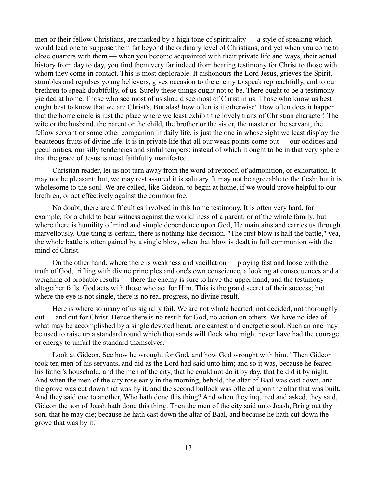men or their fellow Christians, are marked by a high tone of spirituality — a style of speaking which would lead one to suppose them far beyond the ordinary level of Christians, and yet when you come to close quarters with them — when you become acquainted with their private life and ways, their actual history from day to day, you find them very far indeed from bearing testimony for Christ to those with whom they come in contact. This is most deplorable. It dishonours the Lord Jesus, grieves the Spirit, stumbles and repulses young believers, gives occasion to the enemy to speak reproachfully, and to our brethren to speak doubtfully, of us. Surely these things ought not to be. There ought to be a testimony yielded at home. Those who see most of us should see most of Christ in us. Those who know us best ought best to know that we are Christ's. But alas! how often is it otherwise! How often does it happen that the home circle is just the place where we least exhibit the lovely traits of Christian character! The wife or the husband, the parent or the child, the brother or the sister, the master or the servant, the fellow servant or some other companion in daily life, is just the one in whose sight we least display the beauteous fruits of divine life. It is in private life that all our weak points come out — our oddities and peculiarities, our silly tendencies and sinful tempers: instead of which it ought to be in that very sphere that the grace of Jesus is most faithfully manifested.

Christian reader, let us not turn away from the word of reproof, of admonition, or exhortation. It may not be pleasant; but, we may rest assured it is salutary. It may not be agreeable to the flesh; but it is wholesome to the soul. We are called, like Gideon, to begin at home, if we would prove helpful to our brethren, or act effectively against the common foe.

No doubt, there are difficulties involved in this home testimony. It is often very hard, for example, for a child to bear witness against the worldliness of a parent, or of the whole family; but where there is humility of mind and simple dependence upon God, He maintains and carries us through marvellously. One thing is certain, there is nothing like decision. "The first blow is half the battle," yea, the whole battle is often gained by a single blow, when that blow is dealt in full communion with the mind of Christ.

On the other hand, where there is weakness and vacillation — playing fast and loose with the truth of God, trifling with divine principles and one's own conscience, a looking at consequences and a weighing of probable results — there the enemy is sure to have the upper hand, and the testimony altogether fails. God acts with those who act for Him. This is the grand secret of their success; but where the eye is not single, there is no real progress, no divine result.

Here is where so many of us signally fail. We are not whole hearted, not decided, not thoroughly out — and out for Christ. Hence there is no result for God, no action on others. We have no idea of what may be accomplished by a single devoted heart, one earnest and energetic soul. Such an one may be used to raise up a standard round which thousands will flock who might never have had the courage or energy to unfurl the standard themselves.

Look at Gideon. See how he wrought for God, and how God wrought with him. "Then Gideon took ten men of his servants, and did as the Lord had said unto him; and so it was, because he feared his father's household, and the men of the city, that he could not do it by day, that he did it by night. And when the men of the city rose early in the morning, behold, the altar of Baal was cast down, and the grove was cut down that was by it, and the second bullock was offered upon the altar that was built. And they said one to another, Who hath done this thing? And when they inquired and asked, they said, Gideon the son of Joash hath done this thing. Then the men of the city said unto Joash, Bring out thy son, that he may die; because he hath cast down the altar of Baal, and because he hath cut down the grove that was by it."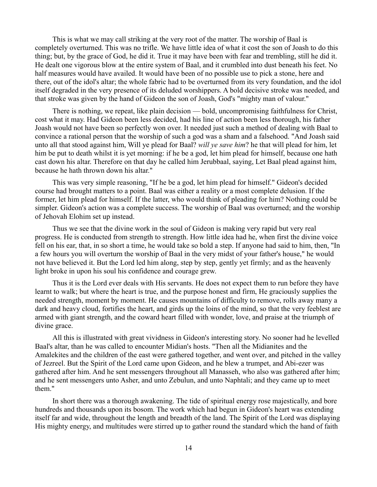This is what we may call striking at the very root of the matter. The worship of Baal is completely overturned. This was no trifle. We have little idea of what it cost the son of Joash to do this thing; but, by the grace of God, he did it. True it may have been with fear and trembling, still he did it. He dealt one vigorous blow at the entire system of Baal, and it crumbled into dust beneath his feet. No half measures would have availed. It would have been of no possible use to pick a stone, here and there, out of the idol's altar; the whole fabric had to be overturned from its very foundation, and the idol itself degraded in the very presence of its deluded worshippers. A bold decisive stroke was needed, and that stroke was given by the hand of Gideon the son of Joash, God's "mighty man of valour."

There is nothing, we repeat, like plain decision — bold, uncompromising faithfulness for Christ, cost what it may. Had Gideon been less decided, had his line of action been less thorough, his father Joash would not have been so perfectly won over. It needed just such a method of dealing with Baal to convince a rational person that the worship of such a god was a sham and a falsehood. "And Joash said unto all that stood against him, Will ye plead for Baal? *will ye save him*? he that will plead for him, let him be put to death whilst it is yet morning: if he be a god, let him plead for himself, because one hath cast down his altar. Therefore on that day he called him Jerubbaal, saying, Let Baal plead against him, because he hath thrown down his altar."

This was very simple reasoning, "If he be a god, let him plead for himself." Gideon's decided course had brought matters to a point. Baal was either a reality or a most complete delusion. If the former, let him plead for himself. If the latter, who would think of pleading for him? Nothing could be simpler. Gideon's action was a complete success. The worship of Baal was overturned; and the worship of Jehovah Elohim set up instead.

Thus we see that the divine work in the soul of Gideon is making very rapid but very real progress. He is conducted from strength to strength. How little idea had he, when first the divine voice fell on his ear, that, in so short a time, he would take so bold a step. If anyone had said to him, then, "In a few hours you will overturn the worship of Baal in the very midst of your father's house," he would not have believed it. But the Lord led him along, step by step, gently yet firmly; and as the heavenly light broke in upon his soul his confidence and courage grew.

Thus it is the Lord ever deals with His servants. He does not expect them to run before they have learnt to walk; but where the heart is true, and the purpose honest and firm, He graciously supplies the needed strength, moment by moment. He causes mountains of difficulty to remove, rolls away many a dark and heavy cloud, fortifies the heart, and girds up the loins of the mind, so that the very feeblest are armed with giant strength, and the coward heart filled with wonder, love, and praise at the triumph of divine grace.

All this is illustrated with great vividness in Gideon's interesting story. No sooner had he levelled Baal's altar, than he was called to encounter Midian's hosts. "Then all the Midianites and the Amalekites and the children of the east were gathered together, and went over, and pitched in the valley of Jezreel. But the Spirit of the Lord came upon Gideon, and he blew a trumpet, and Abi-ezer was gathered after him. And he sent messengers throughout all Manasseh, who also was gathered after him; and he sent messengers unto Asher, and unto Zebulun, and unto Naphtali; and they came up to meet them."

In short there was a thorough awakening. The tide of spiritual energy rose majestically, and bore hundreds and thousands upon its bosom. The work which had begun in Gideon's heart was extending itself far and wide, throughout the length and breadth of the land. The Spirit of the Lord was displaying His mighty energy, and multitudes were stirred up to gather round the standard which the hand of faith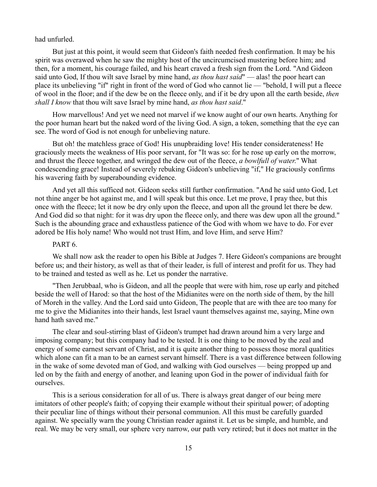had unfurled.

But just at this point, it would seem that Gideon's faith needed fresh confirmation. It may be his spirit was overawed when he saw the mighty host of the uncircumcised mustering before him; and then, for a moment, his courage failed, and his heart craved a fresh sign from the Lord. "And Gideon said unto God, If thou wilt save Israel by mine hand, *as thou hast said*" — alas! the poor heart can place its unbelieving "if" right in front of the word of God who cannot lie — "behold, I will put a fleece of wool in the floor; and if the dew be on the fleece only, and if it be dry upon all the earth beside, *then shall I know* that thou wilt save Israel by mine hand, *as thou hast said*."

How marvellous! And yet we need not marvel if we know aught of our own hearts. Anything for the poor human heart but the naked word of the living God. A sign, a token, something that the eye can see. The word of God is not enough for unbelieving nature.

But oh! the matchless grace of God! His unupbraiding love! His tender considerateness! He graciously meets the weakness of His poor servant, for "It was so: for he rose up early on the morrow, and thrust the fleece together, and wringed the dew out of the fleece, *a bowlfull of water*." What condescending grace! Instead of severely rebuking Gideon's unbelieving "if," He graciously confirms his wavering faith by superabounding evidence.

And yet all this sufficed not. Gideon seeks still further confirmation. "And he said unto God, Let not thine anger be hot against me, and I will speak but this once. Let me prove, I pray thee, but this once with the fleece; let it now be dry only upon the fleece, and upon all the ground let there be dew. And God did so that night: for it was dry upon the fleece only, and there was dew upon all the ground." Such is the abounding grace and exhaustless patience of the God with whom we have to do. For ever adored be His holy name! Who would not trust Him, and love Him, and serve Him?

# PART<sub>6</sub>.

We shall now ask the reader to open his Bible at Judges 7. Here Gideon's companions are brought before us; and their history, as well as that of their leader, is full of interest and profit for us. They had to be trained and tested as well as he. Let us ponder the narrative.

"Then Jerubbaal, who is Gideon, and all the people that were with him, rose up early and pitched beside the well of Harod: so that the host of the Midianites were on the north side of them, by the hill of Moreh in the valley. And the Lord said unto Gideon, The people that are with thee are too many for me to give the Midianites into their hands, lest Israel vaunt themselves against me, saying, Mine own hand hath saved me."

The clear and soul-stirring blast of Gideon's trumpet had drawn around him a very large and imposing company; but this company had to be tested. It is one thing to be moved by the zeal and energy of some earnest servant of Christ, and it is quite another thing to possess those moral qualities which alone can fit a man to be an earnest servant himself. There is a vast difference between following in the wake of some devoted man of God, and walking with God ourselves — being propped up and led on by the faith and energy of another, and leaning upon God in the power of individual faith for ourselves.

This is a serious consideration for all of us. There is always great danger of our being mere imitators of other people's faith; of copying their example without their spiritual power; of adopting their peculiar line of things without their personal communion. All this must be carefully guarded against. We specially warn the young Christian reader against it. Let us be simple, and humble, and real. We may be very small, our sphere very narrow, our path very retired; but it does not matter in the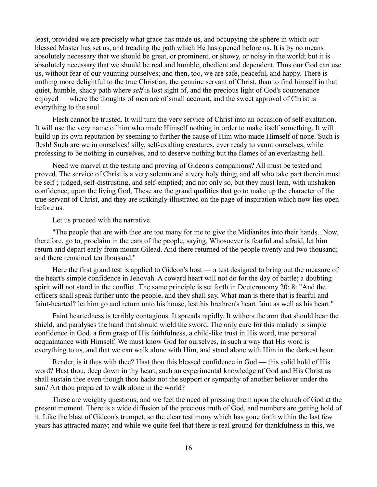least, provided we are precisely what grace has made us, and occupying the sphere in which our blessed Master has set us, and treading the path which He has opened before us. It is by no means absolutely necessary that we should be great, or prominent, or showy, or noisy in the world; but it is absolutely necessary that we should be real and humble, obedient and dependent. Thus our God can use us, without fear of our vaunting ourselves; and then, too, we are safe, peaceful, and happy. There is nothing more delightful to the true Christian, the genuine servant of Christ, than to find himself in that quiet, humble, shady path where *self* is lost sight of, and the precious light of God's countenance enjoyed — where the thoughts of men are of small account, and the sweet approval of Christ is everything to the soul.

Flesh cannot be trusted. It will turn the very service of Christ into an occasion of self-exaltation. It will use the very name of him who made Himself nothing in order to make itself something. It will build up its own reputation by seeming to further the cause of Him who made Himself of none. Such is flesh! Such are we in ourselves! silly, self-exalting creatures, ever ready to vaunt ourselves, while professing to be nothing in ourselves, and to deserve nothing but the flames of an everlasting hell.

Need we marvel at the testing and proving of Gideon's companions? All must be tested and proved. The service of Christ is a very solemn and a very holy thing; and all who take part therein must be self ; judged, self-distrusting, and self-emptied; and not only so, but they must lean, with unshaken confidence, upon the living God, These are the grand qualities that go to make up the character of the true servant of Christ, and they are strikingly illustrated on the page of inspiration which now lies open before us.

Let us proceed with the narrative.

"The people that are with thee are too many for me to give the Midianites into their hands...Now, therefore, go to, proclaim in the ears of the people, saying, Whosoever is fearful and afraid, let him return and depart early from mount Gilead. And there returned of the people twenty and two thousand; and there remained ten thousand."

Here the first grand test is applied to Gideon's host — a test designed to bring out the measure of the heart's simple confidence in Jehovah. A coward heart will not do for the day of battle; a doubting spirit will not stand in the conflict. The same principle is set forth in Deuteronomy 20: 8: "And the officers shall speak further unto the people, and they shall say, What man is there that is fearful and faint-hearted? let him go and return unto his house, lest his brethren's heart faint as well as his heart."

Faint heartedness is terribly contagious. It spreads rapidly. It withers the arm that should bear the shield, and paralyses the hand that should wield the sword. The only cure for this malady is simple confidence in God, a firm grasp of His faithfulness, a child-like trust in His word, true personal acquaintance with Himself. We must know God for ourselves, in such a way that His word is everything to us, and that we can walk alone with Him, and stand alone with Him in the darkest hour.

Reader, is it thus with thee? Hast thou this blessed confidence in God — this solid hold of His word? Hast thou, deep down in thy heart, such an experimental knowledge of God and His Christ as shall sustain thee even though thou hadst not the support or sympathy of another believer under the sun? Art thou prepared to walk alone in the world?

These are weighty questions, and we feel the need of pressing them upon the church of God at the present moment. There is a wide diffusion of the precious truth of God, and numbers are getting hold of it. Like the blast of Gideon's trumpet, so the clear testimony which has gone forth within the last few years has attracted many; and while we quite feel that there is real ground for thankfulness in this, we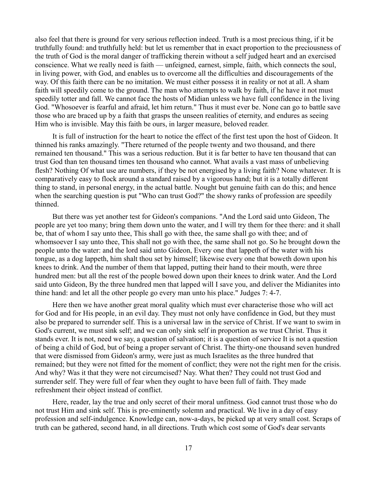also feel that there is ground for very serious reflection indeed. Truth is a most precious thing, if it be truthfully found: and truthfully held: but let us remember that in exact proportion to the preciousness of the truth of God is the moral danger of trafficking therein without a self judged heart and an exercised conscience. What we really need is faith — unfeigned, earnest, simple, faith, which connects the soul, in living power, with God, and enables us to overcome all the difficulties and discouragements of the way. Of this faith there can be no imitation. We must either possess it in reality or not at all. A sham faith will speedily come to the ground. The man who attempts to walk by faith, if he have it not must speedily totter and fall. We cannot face the hosts of Midian unless we have full confidence in the living God. "Whosoever is fearful and afraid, let him return." Thus it must ever be. None can go to battle save those who are braced up by a faith that grasps the unseen realities of eternity, and endures as seeing Him who is invisible. May this faith be ours, in larger measure, beloved reader.

It is full of instruction for the heart to notice the effect of the first test upon the host of Gideon. It thinned his ranks amazingly. "There returned of the people twenty and two thousand, and there remained ten thousand." This was a serious reduction. But it is far better to have ten thousand that can trust God than ten thousand times ten thousand who cannot. What avails a vast mass of unbelieving flesh? Nothing Of what use are numbers, if they be not energised by a living faith? None whatever. It is comparatively easy to flock around a standard raised by a vigorous hand; but it is a totally different thing to stand, in personal energy, in the actual battle. Nought but genuine faith can do this; and hence when the searching question is put "Who can trust God?" the showy ranks of profession are speedily thinned.

But there was yet another test for Gideon's companions. "And the Lord said unto Gideon, The people are yet too many; bring them down unto the water, and I will try them for thee there: and it shall be, that of whom I say unto thee, This shall go with thee, the same shall go with thee; and of whomsoever I say unto thee, This shall not go with thee, the same shall not go. So he brought down the people unto the water: and the lord said unto Gideon, Every one that lappeth of the water with his tongue, as a dog lappeth, him shalt thou set by himself; likewise every one that boweth down upon his knees to drink. And the number of them that lapped, putting their hand to their mouth, were three hundred men: but all the rest of the people bowed down upon their knees to drink water. And the Lord said unto Gideon, By the three hundred men that lapped will I save you, and deliver the Midianites into thine hand: and let all the other people go every man unto his place." Judges 7: 4-7.

Here then we have another great moral quality which must ever characterise those who will act for God and for His people, in an evil day. They must not only have confidence in God, but they must also be prepared to surrender self. This is a universal law in the service of Christ. If we want to swim in God's current, we must sink self; and we can only sink self in proportion as we trust Christ. Thus it stands ever. It is not, need we say, a question of salvation; it is a question of service It is not a question of being a child of God, but of being a proper servant of Christ. The thirty-one thousand seven hundred that were dismissed from Gideon's army, were just as much Israelites as the three hundred that remained; but they were not fitted for the moment of conflict; they were not the right men for the crisis. And why? Was it that they were not circumcised? Nay. What then? They could not trust God and surrender self. They were full of fear when they ought to have been full of faith. They made refreshment their object instead of conflict.

Here, reader, lay the true and only secret of their moral unfitness. God cannot trust those who do not trust Him and sink self. This is pre-eminently solemn and practical. We live in a day of easy profession and self-indulgence. Knowledge can, now-a-days, be picked up at very small cost. Scraps of truth can be gathered, second hand, in all directions. Truth which cost some of God's dear servants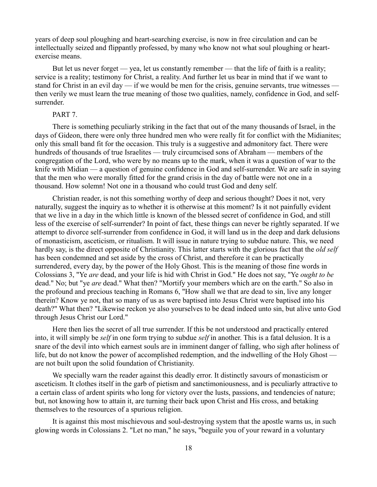years of deep soul ploughing and heart-searching exercise, is now in free circulation and can be intellectually seized and flippantly professed, by many who know not what soul ploughing or heartexercise means.

But let us never forget — yea, let us constantly remember — that the life of faith is a reality; service is a reality; testimony for Christ, a reality. And further let us bear in mind that if we want to stand for Christ in an evil day — if we would be men for the crisis, genuine servants, true witnesses then verily we must learn the true meaning of those two qualities, namely, confidence in God, and selfsurrender.

### PART 7.

There is something peculiarly striking in the fact that out of the many thousands of Israel, in the days of Gideon, there were only three hundred men who were really fit for conflict with the Midianites; only this small band fit for the occasion. This truly is a suggestive and admonitory fact. There were hundreds of thousands of true Israelites — truly circumcised sons of Abraham — members of the congregation of the Lord, who were by no means up to the mark, when it was a question of war to the knife with Midian — a question of genuine confidence in God and self-surrender. We are safe in saying that the men who were morally fitted for the grand crisis in the day of battle were not one in a thousand. How solemn! Not one in a thousand who could trust God and deny self.

Christian reader, is not this something worthy of deep and serious thought? Does it not, very naturally, suggest the inquiry as to whether it is otherwise at this moment? Is it not painfully evident that we live in a day in the which little is known of the blessed secret of confidence in God, and still less of the exercise of self-surrender? In point of fact, these things can never be rightly separated. If we attempt to divorce self-surrender from confidence in God, it will land us in the deep and dark delusions of monasticism, asceticism, or ritualism. It will issue in nature trying to subdue nature. This, we need hardly say, is the direct opposite of Christianity. This latter starts with the glorious fact that the *old self* has been condemned and set aside by the cross of Christ, and therefore it can be practically surrendered, every day, by the power of the Holy Ghost. This is the meaning of those fine words in Colossians 3, "Ye *are* dead, and your life is hid with Christ in God." He does not say, "Ye *ought to be* dead." No; but "ye *are* dead." What then? "Mortify your members which are on the earth." So also in the profound and precious teaching in Romans 6, "How shall we that are dead to sin, live any longer therein? Know ye not, that so many of us as were baptised into Jesus Christ were baptised into his death?" What then? "Likewise reckon ye also yourselves to be dead indeed unto sin, but alive unto God through Jesus Christ our Lord."

Here then lies the secret of all true surrender. If this be not understood and practically entered into, it will simply be *self* in one form trying to subdue *self* in another. This is a fatal delusion. It is a snare of the devil into which earnest souls are in imminent danger of falling, who sigh after holiness of life, but do not know the power of accomplished redemption, and the indwelling of the Holy Ghost are not built upon the solid foundation of Christianity.

We specially warn the reader against this deadly error. It distinctly savours of monasticism or asceticism. It clothes itself in the garb of pietism and sanctimoniousness, and is peculiarly attractive to a certain class of ardent spirits who long for victory over the lusts, passions, and tendencies of nature; but, not knowing how to attain it, are turning their back upon Christ and His cross, and betaking themselves to the resources of a spurious religion.

It is against this most mischievous and soul-destroying system that the apostle warns us, in such glowing words in Colossians 2. "Let no man," he says, "beguile you of your reward in a voluntary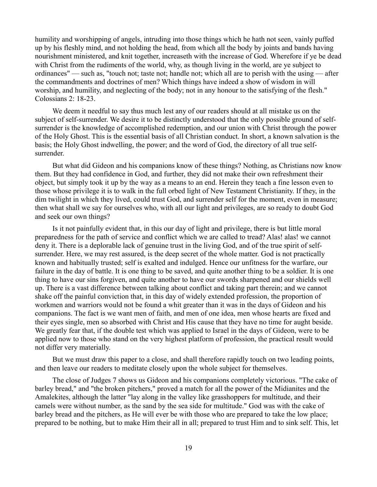humility and worshipping of angels, intruding into those things which he hath not seen, vainly puffed up by his fleshly mind, and not holding the head, from which all the body by joints and bands having nourishment ministered, and knit together, increaseth with the increase of God. Wherefore if ye be dead with Christ from the rudiments of the world, why, as though living in the world, are ye subject to ordinances" — such as, "touch not; taste not; handle not; which all are to perish with the using — after the commandments and doctrines of men? Which things have indeed a show of wisdom in will worship, and humility, and neglecting of the body; not in any honour to the satisfying of the flesh." Colossians 2: 18-23.

We deem it needful to say thus much lest any of our readers should at all mistake us on the subject of self-surrender. We desire it to be distinctly understood that the only possible ground of selfsurrender is the knowledge of accomplished redemption, and our union with Christ through the power of the Holy Ghost. This is the essential basis of all Christian conduct. In short, a known salvation is the basis; the Holy Ghost indwelling, the power; and the word of God, the directory of all true selfsurrender.

But what did Gideon and his companions know of these things? Nothing, as Christians now know them. But they had confidence in God, and further, they did not make their own refreshment their object, but simply took it up by the way as a means to an end. Herein they teach a fine lesson even to those whose privilege it is to walk in the full orbed light of New Testament Christianity. If they, in the dim twilight in which they lived, could trust God, and surrender self for the moment, even in measure; then what shall we say for ourselves who, with all our light and privileges, are so ready to doubt God and seek our own things?

Is it not painfully evident that, in this our day of light and privilege, there is but little moral preparedness for the path of service and conflict which we are called to tread? Alas! alas! we cannot deny it. There is a deplorable lack of genuine trust in the living God, and of the true spirit of selfsurrender. Here, we may rest assured, is the deep secret of the whole matter. God is not practically known and habitually trusted; self is exalted and indulged. Hence our unfitness for the warfare, our failure in the day of battle. It is one thing to be saved, and quite another thing to be a soldier. It is one thing to have our sins forgiven, and quite another to have our swords sharpened and our shields well up. There is a vast difference between talking about conflict and taking part therein; and we cannot shake off the painful conviction that, in this day of widely extended profession, the proportion of workmen and warriors would not be found a whit greater than it was in the days of Gideon and his companions. The fact is we want men of faith, and men of one idea, men whose hearts are fixed and their eyes single, men so absorbed with Christ and His cause that they have no time for aught beside. We greatly fear that, if the double test which was applied to Israel in the days of Gideon, were to be applied now to those who stand on the very highest platform of profession, the practical result would not differ very materially.

But we must draw this paper to a close, and shall therefore rapidly touch on two leading points, and then leave our readers to meditate closely upon the whole subject for themselves.

The close of Judges 7 shows us Gideon and his companions completely victorious. "The cake of barley bread," and "the broken pitchers," proved a match for all the power of the Midianites and the Amalekites, although the latter "lay along in the valley like grasshoppers for multitude, and their camels were without number, as the sand by the sea side for multitude." God was with the cake of barley bread and the pitchers, as He will ever be with those who are prepared to take the low place; prepared to be nothing, but to make Him their all in all; prepared to trust Him and to sink self. This, let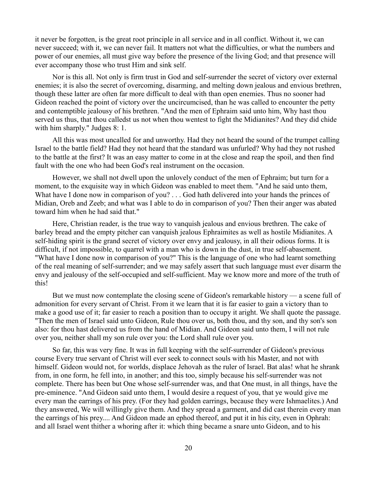it never be forgotten, is the great root principle in all service and in all conflict. Without it, we can never succeed; with it, we can never fail. It matters not what the difficulties, or what the numbers and power of our enemies, all must give way before the presence of the living God; and that presence will ever accompany those who trust Him and sink self.

Nor is this all. Not only is firm trust in God and self-surrender the secret of victory over external enemies; it is also the secret of overcoming, disarming, and melting down jealous and envious brethren, though these latter are often far more difficult to deal with than open enemies. Thus no sooner had Gideon reached the point of victory over the uncircumcised, than he was called to encounter the petty and contemptible jealousy of his brethren. "And the men of Ephraim said unto him, Why hast thou served us thus, that thou calledst us not when thou wentest to fight the Midianites? And they did chide with him sharply." Judges 8: 1.

All this was most uncalled for and unworthy. Had they not heard the sound of the trumpet calling Israel to the battle field? Had they not heard that the standard was unfurled? Why had they not rushed to the battle at the first? It was an easy matter to come in at the close and reap the spoil, and then find fault with the one who had been God's real instrument on the occasion.

However, we shall not dwell upon the unlovely conduct of the men of Ephraim; but turn for a moment, to the exquisite way in which Gideon was enabled to meet them. "And he said unto them, What have I done now in comparison of you? . . . God hath delivered into your hands the princes of Midian, Oreb and Zeeb; and what was I able to do in comparison of you? Then their anger was abated toward him when he had said that."

Here, Christian reader, is the true way to vanquish jealous and envious brethren. The cake of barley bread and the empty pitcher can vanquish jealous Ephraimites as well as hostile Midianites. A self-hiding spirit is the grand secret of victory over envy and jealousy, in all their odious forms. It is difficult, if not impossible, to quarrel with a man who is down in the dust, in true self-abasement. "What have I done now in comparison of you?" This is the language of one who had learnt something of the real meaning of self-surrender; and we may safely assert that such language must ever disarm the envy and jealousy of the self-occupied and self-sufficient. May we know more and more of the truth of this!

But we must now contemplate the closing scene of Gideon's remarkable history — a scene full of admonition for every servant of Christ. From it we learn that it is far easier to gain a victory than to make a good use of it; far easier to reach a position than to occupy it aright. We shall quote the passage. "Then the men of Israel said unto Gideon, Rule thou over us, both thou, and thy son, and thy son's son also: for thou hast delivered us from the hand of Midian. And Gideon said unto them, I will not rule over you, neither shall my son rule over you: the Lord shall rule over you.

So far, this was very fine. It was in full keeping with the self-surrender of Gideon's previous course Every true servant of Christ will ever seek to connect souls with his Master, and not with himself. Gideon would not, for worlds, displace Jehovah as the ruler of Israel. Bat alas! what he shrank from, in one form, he fell into, in another; and this too, simply because his self-surrender was not complete. There has been but One whose self-surrender was, and that One must, in all things, have the pre-eminence. "And Gideon said unto them, I would desire a request of you, that ye would give me every man the earrings of his prey. (For they had golden earrings, because they were Ishmaelites.) And they answered, We will willingly give them. And they spread a garment, and did cast therein every man the earrings of his prey.... And Gideon made an ephod thereof, and put it in his city, even in Ophrah: and all Israel went thither a whoring after it: which thing became a snare unto Gideon, and to his